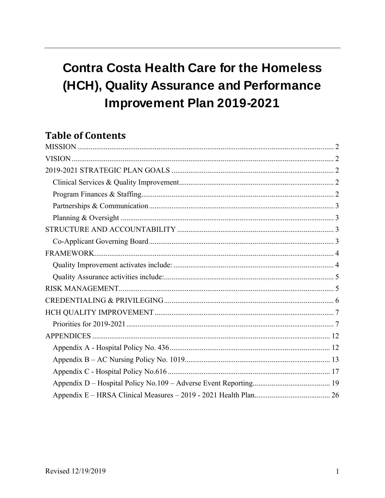# **Contra Costa Health Care for the Homeless** (HCH), Quality Assurance and Performance **Improvement Plan 2019-2021**

# **Table of Contents**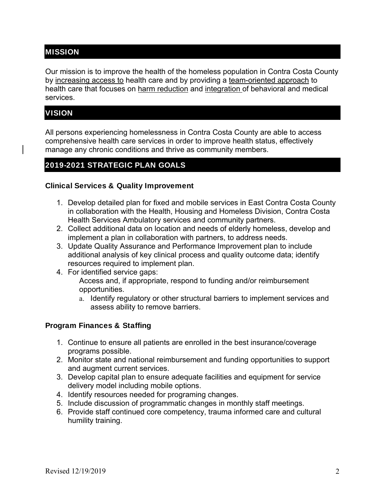# MISSION

Our mission is to improve the health of the homeless population in Contra Costa County by increasing access to health care and by providing a team-oriented approach to health care that focuses on harm reduction and integration of behavioral and medical services.

# **VISION**

All persons experiencing homelessness in Contra Costa County are able to access comprehensive health care services in order to improve health status, effectively manage any chronic conditions and thrive as community members.

# 2019-2021 STRATEGIC PLAN GOALS

# Clinical Services & Quality Improvement

- 1. Develop detailed plan for fixed and mobile services in East Contra Costa County in collaboration with the Health, Housing and Homeless Division, Contra Costa Health Services Ambulatory services and community partners.
- 2. Collect additional data on location and needs of elderly homeless, develop and implement a plan in collaboration with partners, to address needs.
- 3. Update Quality Assurance and Performance Improvement plan to include additional analysis of key clinical process and quality outcome data; identify resources required to implement plan.
- 4. For identified service gaps: Access and, if appropriate, respond to funding and/or reimbursement opportunities.
	- a. Identify regulatory or other structural barriers to implement services and assess ability to remove barriers.

# Program Finances & Staffing

- 1. Continue to ensure all patients are enrolled in the best insurance/coverage programs possible.
- 2. Monitor state and national reimbursement and funding opportunities to support and augment current services.
- 3. Develop capital plan to ensure adequate facilities and equipment for service delivery model including mobile options.
- 4. Identify resources needed for programing changes.
- 5. Include discussion of programmatic changes in monthly staff meetings.
- 6. Provide staff continued core competency, trauma informed care and cultural humility training.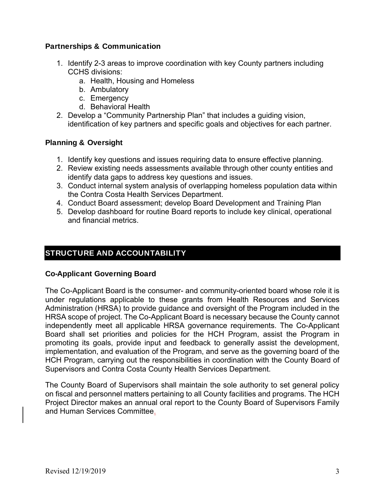# Partnerships & Communication

- 1. Identify 2-3 areas to improve coordination with key County partners including CCHS divisions:
	- a. Health, Housing and Homeless
	- b. Ambulatory
	- c. Emergency
	- d. Behavioral Health
- 2. Develop a "Community Partnership Plan" that includes a guiding vision, identification of key partners and specific goals and objectives for each partner.

# Planning & Oversight

- 1. Identify key questions and issues requiring data to ensure effective planning.
- 2. Review existing needs assessments available through other county entities and identify data gaps to address key questions and issues.
- 3. Conduct internal system analysis of overlapping homeless population data within the Contra Costa Health Services Department.
- 4. Conduct Board assessment; develop Board Development and Training Plan
- 5. Develop dashboard for routine Board reports to include key clinical, operational and financial metrics.

# STRUCTURE AND ACCOUNTABILITY

# Co-Applicant Governing Board

The Co-Applicant Board is the consumer- and community-oriented board whose role it is under regulations applicable to these grants from Health Resources and Services Administration (HRSA) to provide guidance and oversight of the Program included in the HRSA scope of project. The Co-Applicant Board is necessary because the County cannot independently meet all applicable HRSA governance requirements. The Co-Applicant Board shall set priorities and policies for the HCH Program, assist the Program in promoting its goals, provide input and feedback to generally assist the development, implementation, and evaluation of the Program, and serve as the governing board of the HCH Program, carrying out the responsibilities in coordination with the County Board of Supervisors and Contra Costa County Health Services Department.

The County Board of Supervisors shall maintain the sole authority to set general policy on fiscal and personnel matters pertaining to all County facilities and programs. The HCH Project Director makes an annual oral report to the County Board of Supervisors Family and Human Services Committee.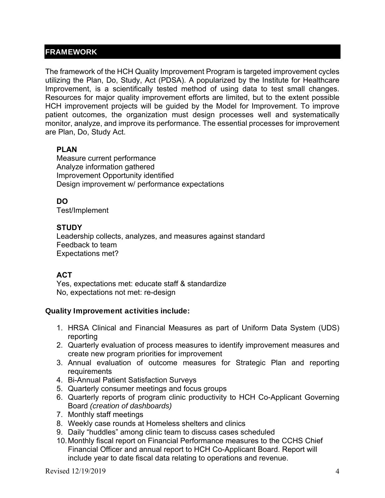# FRAMEWORK

The framework of the HCH Quality Improvement Program is targeted improvement cycles utilizing the Plan, Do, Study, Act (PDSA). A popularized by the Institute for Healthcare Improvement, is a scientifically tested method of using data to test small changes. Resources for major quality improvement efforts are limited, but to the extent possible HCH improvement projects will be guided by the Model for Improvement. To improve patient outcomes, the organization must design processes well and systematically monitor, analyze, and improve its performance. The essential processes for improvement are Plan, Do, Study Act.

# **PLAN**

Measure current performance Analyze information gathered Improvement Opportunity identified Design improvement w/ performance expectations

**DO**

Test/Implement

# **STUDY**

Leadership collects, analyzes, and measures against standard Feedback to team Expectations met?

# **ACT**

Yes, expectations met: educate staff & standardize No, expectations not met: re-design

# Quality Improvement activities include:

- 1. HRSA Clinical and Financial Measures as part of Uniform Data System (UDS) reporting
- 2. Quarterly evaluation of process measures to identify improvement measures and create new program priorities for improvement
- 3. Annual evaluation of outcome measures for Strategic Plan and reporting **requirements**
- 4. Bi-Annual Patient Satisfaction Surveys
- 5. Quarterly consumer meetings and focus groups
- 6. Quarterly reports of program clinic productivity to HCH Co-Applicant Governing Board *(creation of dashboards)*
- 7. Monthly staff meetings
- 8. Weekly case rounds at Homeless shelters and clinics
- 9. Daily "huddles" among clinic team to discuss cases scheduled
- 10. Monthly fiscal report on Financial Performance measures to the CCHS Chief Financial Officer and annual report to HCH Co-Applicant Board. Report will include year to date fiscal data relating to operations and revenue.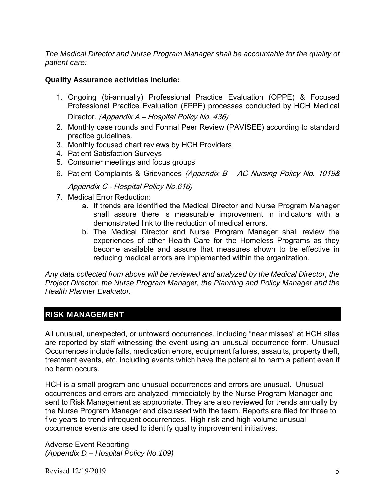*The Medical Director and Nurse Program Manager shall be accountable for the quality of patient care:* 

# Quality Assurance activities include:

- 1. Ongoing (bi-annually) Professional Practice Evaluation (OPPE) & Focused Professional Practice Evaluation (FPPE) processes conducted by HCH Medical Director. (Appendix A - Hospital Policy No. 436)
- 2. Monthly case rounds and Formal Peer Review (PAVISEE) according to standard practice guidelines.
- 3. Monthly focused chart reviews by HCH Providers
- 4. Patient Satisfaction Surveys
- 5. Consumer meetings and focus groups
- 6. Patient Complaints & Grievances (Appendix B AC Nursing Policy No. 1019&

Appendix C - Hospital Policy No.616)

- 7. Medical Error Reduction:
	- a. If trends are identified the Medical Director and Nurse Program Manager shall assure there is measurable improvement in indicators with a demonstrated link to the reduction of medical errors.
	- b. The Medical Director and Nurse Program Manager shall review the experiences of other Health Care for the Homeless Programs as they become available and assure that measures shown to be effective in reducing medical errors are implemented within the organization.

*Any data collected from above will be reviewed and analyzed by the Medical Director, the Project Director, the Nurse Program Manager, the Planning and Policy Manager and the Health Planner Evaluator.* 

# RISK MANAGEMENT

All unusual, unexpected, or untoward occurrences, including "near misses" at HCH sites are reported by staff witnessing the event using an unusual occurrence form. Unusual Occurrences include falls, medication errors, equipment failures, assaults, property theft, treatment events, etc. including events which have the potential to harm a patient even if no harm occurs.

HCH is a small program and unusual occurrences and errors are unusual. Unusual occurrences and errors are analyzed immediately by the Nurse Program Manager and sent to Risk Management as appropriate. They are also reviewed for trends annually by the Nurse Program Manager and discussed with the team. Reports are filed for three to five years to trend infrequent occurrences. High risk and high-volume unusual occurrence events are used to identify quality improvement initiatives.

Adverse Event Reporting *(Appendix D – Hospital Policy No.109)*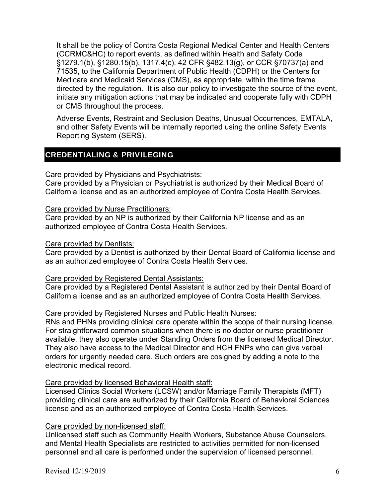It shall be the policy of Contra Costa Regional Medical Center and Health Centers (CCRMC&HC) to report events, as defined within Health and Safety Code §1279.1(b), §1280.15(b), 1317.4(c), 42 CFR §482.13(g), or CCR §70737(a) and 71535, to the California Department of Public Health (CDPH) or the Centers for Medicare and Medicaid Services (CMS), as appropriate, within the time frame directed by the regulation. It is also our policy to investigate the source of the event, initiate any mitigation actions that may be indicated and cooperate fully with CDPH or CMS throughout the process.

Adverse Events, Restraint and Seclusion Deaths, Unusual Occurrences, EMTALA, and other Safety Events will be internally reported using the online Safety Events Reporting System (SERS).

# CREDENTIALING & PRIVILEGING

### Care provided by Physicians and Psychiatrists:

Care provided by a Physician or Psychiatrist is authorized by their Medical Board of California license and as an authorized employee of Contra Costa Health Services.

#### Care provided by Nurse Practitioners:

Care provided by an NP is authorized by their California NP license and as an authorized employee of Contra Costa Health Services.

### Care provided by Dentists:

Care provided by a Dentist is authorized by their Dental Board of California license and as an authorized employee of Contra Costa Health Services.

# Care provided by Registered Dental Assistants:

Care provided by a Registered Dental Assistant is authorized by their Dental Board of California license and as an authorized employee of Contra Costa Health Services.

# Care provided by Registered Nurses and Public Health Nurses:

RNs and PHNs providing clinical care operate within the scope of their nursing license. For straightforward common situations when there is no doctor or nurse practitioner available, they also operate under Standing Orders from the licensed Medical Director. They also have access to the Medical Director and HCH FNPs who can give verbal orders for urgently needed care. Such orders are cosigned by adding a note to the electronic medical record.

#### Care provided by licensed Behavioral Health staff:

Licensed Clinics Social Workers (LCSW) and/or Marriage Family Therapists (MFT) providing clinical care are authorized by their California Board of Behavioral Sciences license and as an authorized employee of Contra Costa Health Services.

# Care provided by non-licensed staff:

Unlicensed staff such as Community Health Workers, Substance Abuse Counselors, and Mental Health Specialists are restricted to activities permitted for non-licensed personnel and all care is performed under the supervision of licensed personnel.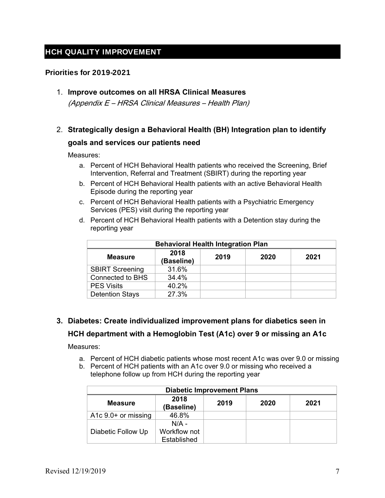# HCH QUALITY IMPROVEMENT

### Priorities for 2019-2021

# 1. **Improve outcomes on all HRSA Clinical Measures**

(Appendix E – HRSA Clinical Measures – Health Plan)

# 2. **Strategically design a Behavioral Health (BH) Integration plan to identify**

#### **goals and services our patients need**

Measures:

- a. Percent of HCH Behavioral Health patients who received the Screening, Brief Intervention, Referral and Treatment (SBIRT) during the reporting year
- b. Percent of HCH Behavioral Health patients with an active Behavioral Health Episode during the reporting year
- c. Percent of HCH Behavioral Health patients with a Psychiatric Emergency Services (PES) visit during the reporting year
- d. Percent of HCH Behavioral Health patients with a Detention stay during the reporting year

| <b>Behavioral Health Integration Plan</b> |                    |      |      |      |  |
|-------------------------------------------|--------------------|------|------|------|--|
| <b>Measure</b>                            | 2018<br>(Baseline) | 2019 | 2020 | 2021 |  |
| <b>SBIRT Screening</b>                    | 31.6%              |      |      |      |  |
| <b>Connected to BHS</b>                   | 34.4%              |      |      |      |  |
| <b>PES Visits</b>                         | 40.2%              |      |      |      |  |
| <b>Detention Stays</b>                    | 27.3%              |      |      |      |  |

# **3. Diabetes: Create individualized improvement plans for diabetics seen in**

# **HCH department with a Hemoglobin Test (A1c) over 9 or missing an A1c**

- a. Percent of HCH diabetic patients whose most recent A1c was over 9.0 or missing
- b. Percent of HCH patients with an A1c over 9.0 or missing who received a telephone follow up from HCH during the reporting year

| <b>Diabetic Improvement Plans</b> |                                        |      |      |      |  |
|-----------------------------------|----------------------------------------|------|------|------|--|
| <b>Measure</b>                    | 2018<br>(Baseline)                     | 2019 | 2020 | 2021 |  |
| A1 $c$ 9.0+ or missing            | 46.8%                                  |      |      |      |  |
| Diabetic Follow Up                | $N/A$ -<br>Workflow not<br>Established |      |      |      |  |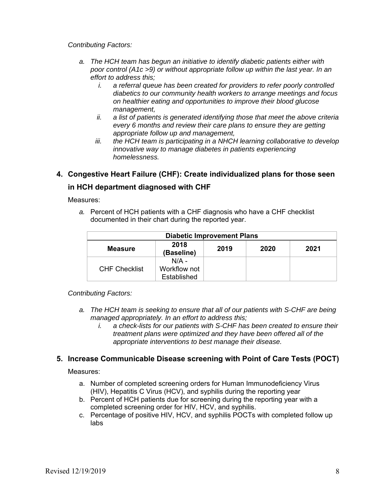- *a. The HCH team has begun an initiative to identify diabetic patients either with poor control (A1c >9) or without appropriate follow up within the last year. In an effort to address this;* 
	- *i. a referral queue has been created for providers to refer poorly controlled diabetics to our community health workers to arrange meetings and focus on healthier eating and opportunities to improve their blood glucose management,*
	- *ii. a list of patients is generated identifying those that meet the above criteria every 6 months and review their care plans to ensure they are getting appropriate follow up and management,*
	- *iii. the HCH team is participating in a NHCH learning collaborative to develop innovative way to manage diabetes in patients experiencing homelessness.*

# **4. Congestive Heart Failure (CHF): Create individualized plans for those seen in HCH department diagnosed with CHF**

Measures:

*a.* Percent of HCH patients with a CHF diagnosis who have a CHF checklist documented in their chart during the reported year.

| <b>Diabetic Improvement Plans</b>                            |              |  |  |  |  |
|--------------------------------------------------------------|--------------|--|--|--|--|
| 2018<br>2019<br>2020<br>2021<br><b>Measure</b><br>(Baseline) |              |  |  |  |  |
|                                                              | $N/A$ -      |  |  |  |  |
| <b>CHF Checklist</b>                                         | Workflow not |  |  |  |  |
|                                                              | Established  |  |  |  |  |

*Contributing Factors:* 

- *a. The HCH team is seeking to ensure that all of our patients with S-CHF are being managed appropriately. In an effort to address this;* 
	- *i. a check-lists for our patients with S-CHF has been created to ensure their treatment plans were optimized and they have been offered all of the appropriate interventions to best manage their disease.*

# **5. Increase Communicable Disease screening with Point of Care Tests (POCT)**

- a. Number of completed screening orders for Human Immunodeficiency Virus (HIV), Hepatitis C Virus (HCV), and syphilis during the reporting year
- b. Percent of HCH patients due for screening during the reporting year with a completed screening order for HIV, HCV, and syphilis.
- c. Percentage of positive HIV, HCV, and syphilis POCTs with completed follow up labs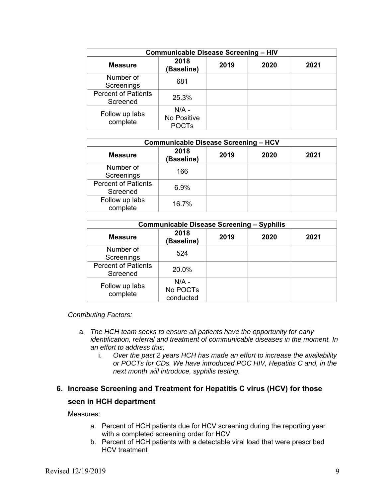| <b>Communicable Disease Screening - HIV</b> |                                        |      |      |      |  |
|---------------------------------------------|----------------------------------------|------|------|------|--|
| <b>Measure</b>                              | 2018<br><b>Baseline)</b>               | 2019 | 2020 | 2021 |  |
| Number of<br>Screenings                     | 681                                    |      |      |      |  |
| <b>Percent of Patients</b><br>Screened      | 25.3%                                  |      |      |      |  |
| Follow up labs<br>complete                  | $N/A -$<br>No Positive<br><b>POCTs</b> |      |      |      |  |

| <b>Communicable Disease Screening - HCV</b> |                    |      |      |      |
|---------------------------------------------|--------------------|------|------|------|
| <b>Measure</b>                              | 2018<br>(Baseline) | 2019 | 2020 | 2021 |
| Number of<br>Screenings                     | 166                |      |      |      |
| <b>Percent of Patients</b><br>Screened      | 6.9%               |      |      |      |
| Follow up labs<br>complete                  | 16.7%              |      |      |      |

| <b>Communicable Disease Screening - Syphilis</b> |                                  |      |      |      |  |
|--------------------------------------------------|----------------------------------|------|------|------|--|
| <b>Measure</b>                                   | 2018<br>(Baseline)               | 2019 | 2020 | 2021 |  |
| Number of<br>Screenings                          | 524                              |      |      |      |  |
| <b>Percent of Patients</b><br>Screened           | 20.0%                            |      |      |      |  |
| Follow up labs<br>complete                       | $N/A -$<br>No POCTs<br>conducted |      |      |      |  |

- a. *The HCH team seeks to ensure all patients have the opportunity for early identification, referral and treatment of communicable diseases in the moment. In an effort to address this;* 
	- i. *Over the past 2 years HCH has made an effort to increase the availability or POCTs for CDs. We have introduced POC HIV, Hepatitis C and, in the next month will introduce, syphilis testing.*

# **6. Increase Screening and Treatment for Hepatitis C virus (HCV) for those**

#### **seen in HCH department**

- a. Percent of HCH patients due for HCV screening during the reporting year with a completed screening order for HCV
- b. Percent of HCH patients with a detectable viral load that were prescribed HCV treatment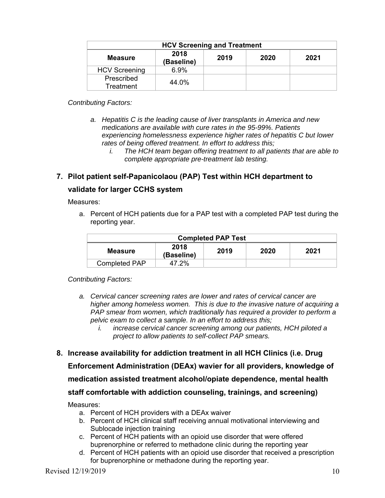| <b>HCV Screening and Treatment</b>                           |       |  |  |  |  |
|--------------------------------------------------------------|-------|--|--|--|--|
| 2018<br>2019<br>2020<br>2021<br><b>Measure</b><br>(Baseline) |       |  |  |  |  |
| <b>HCV Screening</b>                                         | 6.9%  |  |  |  |  |
| Prescribed<br>Treatment                                      | 44.0% |  |  |  |  |

- *a. Hepatitis C is the leading cause of liver transplants in America and new medications are available with cure rates in the 95-99%. Patients experiencing homelessness experience higher rates of hepatitis C but lower rates of being offered treatment. In effort to address this;* 
	- *i. The HCH team began offering treatment to all patients that are able to complete appropriate pre-treatment lab testing.*

# **7. Pilot patient self-Papanicolaou (PAP) Test within HCH department to**

# **validate for larger CCHS system**

Measures:

a. Percent of HCH patients due for a PAP test with a completed PAP test during the reporting year.

| <b>Completed PAP Test</b>                             |  |  |  |  |  |
|-------------------------------------------------------|--|--|--|--|--|
| 2018<br>2019<br>2020<br>2021<br>Measure<br>(Baseline) |  |  |  |  |  |
| 47.2%<br><b>Completed PAP</b>                         |  |  |  |  |  |

*Contributing Factors:* 

- *a. Cervical cancer screening rates are lower and rates of cervical cancer are higher among homeless women. This is due to the invasive nature of acquiring a PAP smear from women, which traditionally has required a provider to perform a pelvic exam to collect a sample. In an effort to address this;* 
	- *i. increase cervical cancer screening among our patients, HCH piloted a project to allow patients to self-collect PAP smears.*

# **8. Increase availability for addiction treatment in all HCH Clinics (i.e. Drug**

**Enforcement Administration (DEAx) wavier for all providers, knowledge of** 

**medication assisted treatment alcohol/opiate dependence, mental health** 

# **staff comfortable with addiction counseling, trainings, and screening)**

- a. Percent of HCH providers with a DEAx waiver
- b. Percent of HCH clinical staff receiving annual motivational interviewing and Sublocade injection training
- c. Percent of HCH patients with an opioid use disorder that were offered buprenorphine or referred to methadone clinic during the reporting year
- d. Percent of HCH patients with an opioid use disorder that received a prescription for buprenorphine or methadone during the reporting year.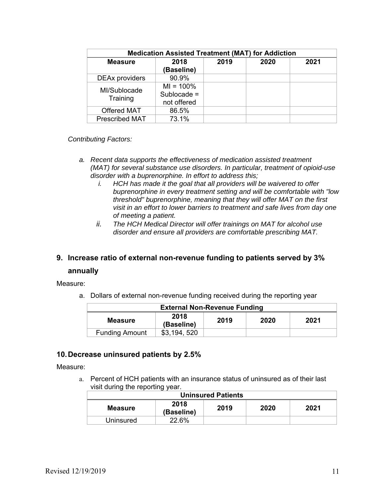| <b>Medication Assisted Treatment (MAT) for Addiction</b> |                                              |      |      |      |  |
|----------------------------------------------------------|----------------------------------------------|------|------|------|--|
| <b>Measure</b>                                           | 2018<br>(Baseline)                           | 2019 | 2020 | 2021 |  |
| <b>DEAx providers</b>                                    | 90.9%                                        |      |      |      |  |
| MI/Sublocade<br>Training                                 | $MI = 100\%$<br>Sublocade $=$<br>not offered |      |      |      |  |
| Offered MAT                                              | 86.5%                                        |      |      |      |  |
| <b>Prescribed MAT</b>                                    | 73.1%                                        |      |      |      |  |

- *a. Recent data supports the effectiveness of medication assisted treatment (MAT) for several substance use disorders. In particular, treatment of opioid-use disorder with a buprenorphine. In effort to address this;* 
	- *i. HCH has made it the goal that all providers will be waivered to offer buprenorphine in every treatment setting and will be comfortable with "low threshold" buprenorphine, meaning that they will offer MAT on the first visit in an effort to lower barriers to treatment and safe lives from day one of meeting a patient.*
	- *ii. The HCH Medical Director will offer trainings on MAT for alcohol use disorder and ensure all providers are comfortable prescribing MAT.*

# **9. Increase ratio of external non-revenue funding to patients served by 3%**

#### **annually**

Measure:

a. Dollars of external non-revenue funding received during the reporting year

| <b>External Non-Revenue Funding</b>                          |  |  |  |  |  |
|--------------------------------------------------------------|--|--|--|--|--|
| 2018<br>2019<br>2020<br>2021<br><b>Measure</b><br>(Baseline) |  |  |  |  |  |
| <b>Funding Amount</b><br>\$3,194,520                         |  |  |  |  |  |

#### **10. Decrease uninsured patients by 2.5%**

Measure:

a. Percent of HCH patients with an insurance status of uninsured as of their last visit during the reporting year.

| <b>Uninsured Patients</b> |                    |      |      |      |  |
|---------------------------|--------------------|------|------|------|--|
| <b>Measure</b>            | 2018<br>(Baseline) | 2019 | 2020 | 2021 |  |
| Uninsured                 | 22.6%              |      |      |      |  |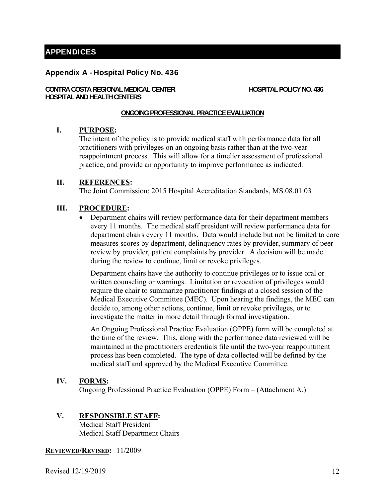# APPENDICES

#### Appendix A - Hospital Policy No. 436

**CONTRA COSTA REGIONAL MEDICAL CENTER HOSPITAL POLICY NO. 436 HOSPITAL AND HEALTH CENTERS** 

#### **ONGOING PROFESSIONAL PRACTICE EVALUATION**

#### **I. PURPOSE:**

The intent of the policy is to provide medical staff with performance data for all practitioners with privileges on an ongoing basis rather than at the two-year reappointment process. This will allow for a timelier assessment of professional practice, and provide an opportunity to improve performance as indicated.

#### **II. REFERENCES:**

The Joint Commission: 2015 Hospital Accreditation Standards, MS.08.01.03

#### **III. PROCEDURE:**

 Department chairs will review performance data for their department members every 11 months. The medical staff president will review performance data for department chairs every 11 months. Data would include but not be limited to core measures scores by department, delinquency rates by provider, summary of peer review by provider, patient complaints by provider. A decision will be made during the review to continue, limit or revoke privileges.

Department chairs have the authority to continue privileges or to issue oral or written counseling or warnings. Limitation or revocation of privileges would require the chair to summarize practitioner findings at a closed session of the Medical Executive Committee (MEC). Upon hearing the findings, the MEC can decide to, among other actions, continue, limit or revoke privileges, or to investigate the matter in more detail through formal investigation.

An Ongoing Professional Practice Evaluation (OPPE) form will be completed at the time of the review. This, along with the performance data reviewed will be maintained in the practitioners credentials file until the two-year reappointment process has been completed. The type of data collected will be defined by the medical staff and approved by the Medical Executive Committee.

#### **IV. FORMS:**

Ongoing Professional Practice Evaluation (OPPE) Form – (Attachment A.)

#### **V. RESPONSIBLE STAFF:**

Medical Staff President Medical Staff Department Chairs

#### **REVIEWED/REVISED:** 11/2009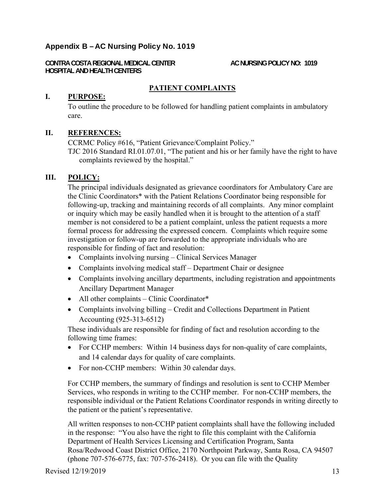# Appendix B – AC Nursing Policy No. 1019

**CONTRA COSTA REGIONAL MEDICAL CENTER AC NURSING POLICY NO: 1019 HOSPITAL AND HEALTH CENTERS** 

# **PATIENT COMPLAINTS**

### **I. PURPOSE:**

To outline the procedure to be followed for handling patient complaints in ambulatory care.

### **II. REFERENCES:**

CCRMC Policy #616, "Patient Grievance/Complaint Policy." TJC 2016 Standard RI.01.07.01, "The patient and his or her family have the right to have complaints reviewed by the hospital."

### **III. POLICY:**

The principal individuals designated as grievance coordinators for Ambulatory Care are the Clinic Coordinators\* with the Patient Relations Coordinator being responsible for following-up, tracking and maintaining records of all complaints. Any minor complaint or inquiry which may be easily handled when it is brought to the attention of a staff member is not considered to be a patient complaint, unless the patient requests a more formal process for addressing the expressed concern. Complaints which require some investigation or follow-up are forwarded to the appropriate individuals who are responsible for finding of fact and resolution:

- Complaints involving nursing Clinical Services Manager
- Complaints involving medical staff Department Chair or designee
- Complaints involving ancillary departments, including registration and appointments Ancillary Department Manager
- All other complaints Clinic Coordinator\*
- Complaints involving billing Credit and Collections Department in Patient Accounting (925-313-6512)

These individuals are responsible for finding of fact and resolution according to the following time frames:

- For CCHP members: Within 14 business days for non-quality of care complaints, and 14 calendar days for quality of care complaints.
- For non-CCHP members: Within 30 calendar days.

For CCHP members, the summary of findings and resolution is sent to CCHP Member Services, who responds in writing to the CCHP member. For non-CCHP members, the responsible individual or the Patient Relations Coordinator responds in writing directly to the patient or the patient's representative.

All written responses to non-CCHP patient complaints shall have the following included in the response: "You also have the right to file this complaint with the California Department of Health Services Licensing and Certification Program, Santa Rosa/Redwood Coast District Office, 2170 Northpoint Parkway, Santa Rosa, CA 94507 (phone 707-576-6775, fax: 707-576-2418). Or you can file with the Quality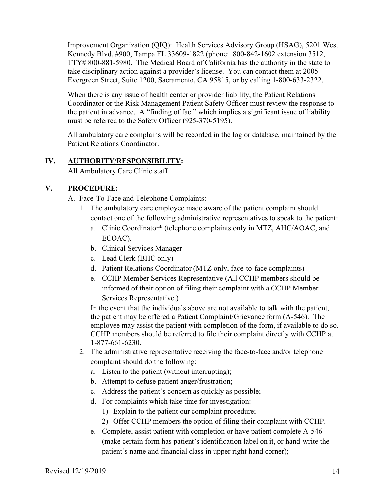Improvement Organization (QIQ): Health Services Advisory Group (HSAG), 5201 West Kennedy Blvd, #900, Tampa FL 33609-1822 (phone: 800-842-1602 extension 3512, TTY# 800-881-5980. The Medical Board of California has the authority in the state to take disciplinary action against a provider's license. You can contact them at 2005 Evergreen Street, Suite 1200, Sacramento, CA 95815, or by calling 1-800-633-2322.

When there is any issue of health center or provider liability, the Patient Relations Coordinator or the Risk Management Patient Safety Officer must review the response to the patient in advance. A "finding of fact" which implies a significant issue of liability must be referred to the Safety Officer (925-370-5195).

All ambulatory care complains will be recorded in the log or database, maintained by the Patient Relations Coordinator.

### **IV. AUTHORITY/RESPONSIBILITY:**

All Ambulatory Care Clinic staff

# **V. PROCEDURE:**

A. Face-To-Face and Telephone Complaints:

- 1. The ambulatory care employee made aware of the patient complaint should contact one of the following administrative representatives to speak to the patient:
	- a. Clinic Coordinator\* (telephone complaints only in MTZ, AHC/AOAC, and ECOAC).
	- b. Clinical Services Manager
	- c. Lead Clerk (BHC only)
	- d. Patient Relations Coordinator (MTZ only, face-to-face complaints)
	- e. CCHP Member Services Representative (All CCHP members should be informed of their option of filing their complaint with a CCHP Member Services Representative.)

In the event that the individuals above are not available to talk with the patient, the patient may be offered a Patient Complaint/Grievance form (A-546). The employee may assist the patient with completion of the form, if available to do so. CCHP members should be referred to file their complaint directly with CCHP at 1-877-661-6230.

- 2. The administrative representative receiving the face-to-face and/or telephone complaint should do the following:
	- a. Listen to the patient (without interrupting);
	- b. Attempt to defuse patient anger/frustration;
	- c. Address the patient's concern as quickly as possible;
	- d. For complaints which take time for investigation:
		- 1) Explain to the patient our complaint procedure;
		- 2) Offer CCHP members the option of filing their complaint with CCHP.
	- e. Complete, assist patient with completion or have patient complete A-546 (make certain form has patient's identification label on it, or hand-write the patient's name and financial class in upper right hand corner);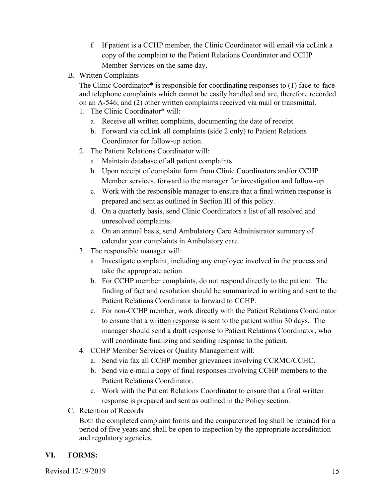- f. If patient is a CCHP member, the Clinic Coordinator will email via ccLink a copy of the complaint to the Patient Relations Coordinator and CCHP Member Services on the same day.
- B. Written Complaints

The Clinic Coordinator\* is responsible for coordinating responses to (1) face-to-face and telephone complaints which cannot be easily handled and are, therefore recorded on an A-546; and (2) other written complaints received via mail or transmittal.

- 1. The Clinic Coordinator\* will:
	- a. Receive all written complaints, documenting the date of receipt.
	- b. Forward via ccLink all complaints (side 2 only) to Patient Relations Coordinator for follow-up action.
- 2. The Patient Relations Coordinator will:
	- a. Maintain database of all patient complaints.
	- b. Upon receipt of complaint form from Clinic Coordinators and/or CCHP Member services, forward to the manager for investigation and follow-up.
	- c. Work with the responsible manager to ensure that a final written response is prepared and sent as outlined in Section III of this policy.
	- d. On a quarterly basis, send Clinic Coordinators a list of all resolved and unresolved complaints.
	- e. On an annual basis, send Ambulatory Care Administrator summary of calendar year complaints in Ambulatory care.
- 3. The responsible manager will:
	- a. Investigate complaint, including any employee involved in the process and take the appropriate action.
	- b. For CCHP member complaints, do not respond directly to the patient. The finding of fact and resolution should be summarized in writing and sent to the Patient Relations Coordinator to forward to CCHP.
	- c. For non-CCHP member, work directly with the Patient Relations Coordinator to ensure that a written response is sent to the patient within 30 days. The manager should send a draft response to Patient Relations Coordinator, who will coordinate finalizing and sending response to the patient.
- 4. CCHP Member Services or Quality Management will:
	- a. Send via fax all CCHP member grievances involving CCRMC/CCHC.
	- b. Send via e-mail a copy of final responses involving CCHP members to the Patient Relations Coordinator.
	- c. Work with the Patient Relations Coordinator to ensure that a final written response is prepared and sent as outlined in the Policy section.
- C. Retention of Records

Both the completed complaint forms and the computerized log shall be retained for a period of five years and shall be open to inspection by the appropriate accreditation and regulatory agencies.

# **VI. FORMS:**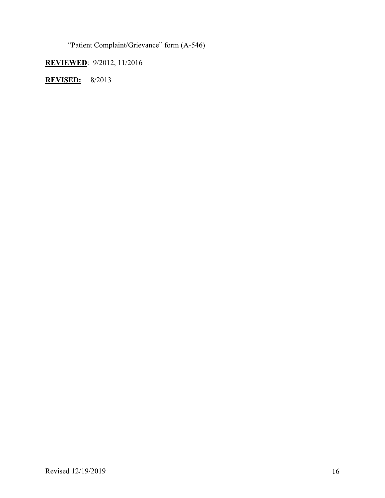"Patient Complaint/Grievance" form (A-546)

**REVIEWED**: 9/2012, 11/2016

**REVISED:** 8/2013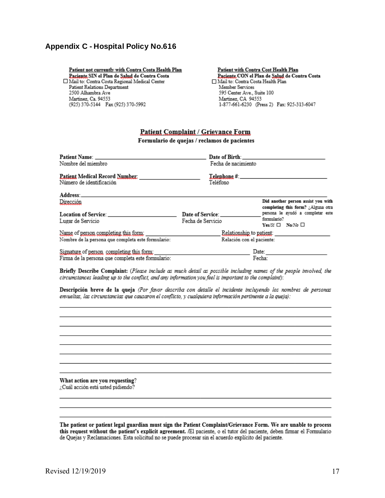### Appendix C - Hospital Policy No.616

Patient not currently with Contra Costa Health Plan Paciente SIN el Plan de Salud de Contra Costa Mail to: Contra Costa Regional Medical Center **Patient Relations Department** 2500 Alhambra Ave Martinez, Ca. 94553 (925) 370-5144 Fax (925) 370-5992

Patient with Contra Cost Health Plan Paciente CON el Plan de Salud de Contra Costa Mail to: Contra Costa Health Plan Member Services 595 Center Ave., Suite 100 Martinez, CA 94553 1-877-661-6230 (Press 2) Fax: 925-313-6047

#### **Patient Complaint / Grievance Form**

Formulario de quejas / reclamos de pacientes

| Patient Name: Name: Name: Name: Name: Name: Name: Name: Name: Name: Name: Name: Name: Name: Name: Name: Name: Name: Name: Name: Name: Name: Name: Name: Name: Name: Name: Name: Name: Name: Name: Name: Name: Name: Name: Name |                           | Date of Birth: New York 1988                                             |
|--------------------------------------------------------------------------------------------------------------------------------------------------------------------------------------------------------------------------------|---------------------------|--------------------------------------------------------------------------|
| Nombre del miembro                                                                                                                                                                                                             | Fecha de nacimiento       |                                                                          |
| Patient Medical Record Number:<br>Número de identificación                                                                                                                                                                     | Teléfono                  | Telephone #: New York 2014                                               |
| Address: No. 1996. The Second State of the Second State of the Second State of the Second State of the Second State of the Second State of the Second State of the Second State of the Second State of the Second State of the |                           |                                                                          |
| Dirección                                                                                                                                                                                                                      |                           | Did another person assist you with<br>completing this form? ¿Alguna otra |
| <b>Location of Service:</b>                                                                                                                                                                                                    | Date of Service:          | persona le avudó a completar este                                        |
| Lugar de Servicio                                                                                                                                                                                                              | Fecha de Servicio         | formulario?<br>Yes/Si $\Box$ No/No $\Box$                                |
| Name of person completing this form:                                                                                                                                                                                           | Relationship to patient:  |                                                                          |
| Nombre de la persona que completa este formulario:                                                                                                                                                                             | Relación con el paciente: |                                                                          |
| Signature of person, completing this form.                                                                                                                                                                                     | Date:                     |                                                                          |
| Firma de la persona que completa este formulario:                                                                                                                                                                              |                           | Fecha:                                                                   |

Briefly Describe Complaint: (Please include as much detail as possible including names of the people involved, the circumstances leading up to the conflict, and any information you feel is important to the complaint):

Descripción breve de la queja (Por favor describa con detalle el incidente incluyendo los nombres de personas envueltas, las circunstancias que causaron el conflicto, y cualquiera información pertinente a la queja):

What action are you requesting? ¿Cuál acción está usted pidiendo?

The patient or patient legal guardian must sign the Patient Complaint/Grievance Form. We are unable to process this request without the patient's explicit agreement. /El paciente, o el tutor del paciente, deben firmar el Formulario de Quejas y Reclamaciones. Esta solicitud no se puede procesar sin el acuerdo explícito del paciente.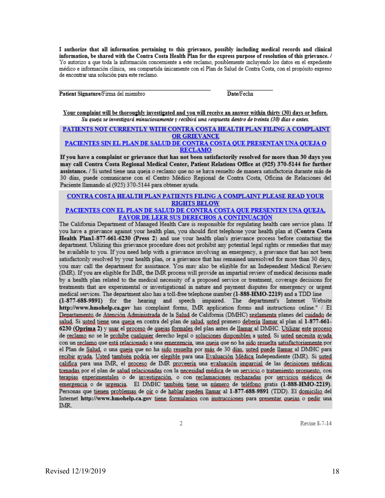I authorize that all information pertaining to this grievance, possibly including medical records and clinical information, be shared with the Contra Costa Health Plan for the express purpose of resolution of this grievance. / Yo autorizo a que toda la información concerniente a este reclamo, posiblemente incluyendo los datos en el expediente médico e información clínica, sea compartida únicamente con el Plan de Salud de Contra Costa, con el propósito expreso de encontrar una solución para este reclamo.

Patient Signature/Firma del miembro

Date/Fecha

Your complaint will be thoroughly investigated and you will receive an answer within thirty (30) days or before. Su queja se investigará minuciosamente y recibirá una respuesta dentro de treinta (30) días o antes.

#### PATIENTS NOT CURRENTLY WITH CONTRA COSTA HEALTH PLAN FILING A COMPLAINT **OR GRIEVANCE** PACIENTES SIN EL PLAN DE SALUD DE CONTRA COSTA QUE PRESENTAN UNA QUEJA O

#### **RECLAMO**

If you have a complaint or grievance that has not been satisfactorily resolved for more than 30 days you may call Contra Costa Regional Medical Center, Patient Relations Office at (925) 370-5144 for further assistance. / Si usted tiene una queja o reclamo que no se haya resuelto de manera satisfactoria durante más de 30 días, puede comunicarse con el Centro Médico Regional de Contra Costa, Oficina de Relaciones del Paciente llamando al (925) 370-5144 para obtener ayuda.

# CONTRA COSTA HEALTH PLAN PATIENTS FILING A COMPLAINT PLEASE READ YOUR **RIGHTS BELOW**

#### PACIENTES CON EL PLAN DE SALUD DE CONTRA COSTA QUE PRESENTEN UNA QUEJA, FAVOR DE LEER SUS DERECHOS A CONTINUACIÓN

The California Department of Managed Health Care is responsible for regulating health care service plans. If you have a grievance against your health plan, you should first telephone your health plan at (Contra Costa Health Plan1-877-661-6230 (Press 2) and use your health plan's grievance process before contacting the department. Utilizing this grievance procedure does not prohibit any potential legal rights or remedies that may be available to you. If you need help with a grievance involving an emergency, a grievance that has not been satisfactorily resolved by your health plan, or a grievance that has remained unresolved for more than 30 days, you may call the department for assistance. You may also be eligible for an Independent Medical Review (IMR). If you are eligible for IMR, the IMR process will provide an impartial review of medical decisions made by a health plan related to the medical necessity of a proposed service or treatment, coverage decisions for treatments that are experimental or investigational in nature and payment disputes for emergency or urgent medical services. The department also has a toll-free telephone number (1-888-HMO-2219) and a TDD line (1-877-688-9891) for the hearing and speech impaired. The department's Internet Website http://www.hmohelp.ca.gov has complaint forms, IMR application forms and instructions online." / E1 Departamento de Atención Administrada de la Salud de California (DMHC) reglamenta planes del cuidado de salud. Si usted tiene una queja en contra del plan de salud, usted primero debería llamar al plan al 1-877-661-6230 (Oprima 2) y usar el proceso de quejas formales del plan antes de llamar al DMHC. Utilizar este proceso de reclamo no se le probibe cualquier derecho legal o soluciones disponibles a usted. Si usted necesita avuda, con un reclamo que está relacionado a una emergencia, una queja que no ha sido resuelta satisfactoriamente por el Plan de Salud, o una queia que no ha sido resuelta por más de 30 días, usted puede llamar al DMHC para recibir ayuda. Usted también podría ser elegible para una Evaluación Médica Independiente (IMR). Si usted califica para una IMR, el proceso de IMR proxeería una exaluación imparcial de las decisiones médicas. tomadas por el plan de salud relacionadas con la necesidad médica de un servicio o tratamiento propuesto, con terapias experimentales o de investigación, o con reclamaciones rechazadas por servicios médicos de emergencia o de urgencia. El DMHC también tiene un número de teléfono gratis (1-888-HMO-2219). Personas que tienen problemas de oir o de hablar pueden llamar al 1-877-688-9891 (TDD). El domicilio del Internet http://www.hmohelp.ca.gov tiene formularios con instrucciones para presentar quejas o pedir una IMR.

2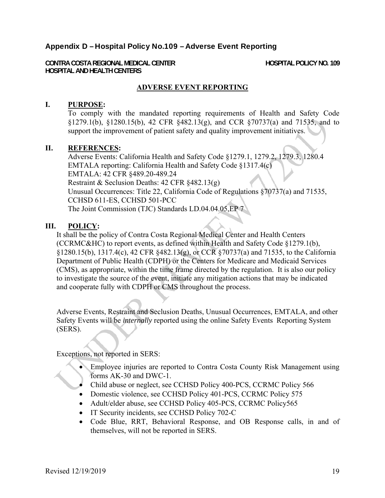# Appendix D – Hospital Policy No.109 – Adverse Event Reporting

**CONTRA COSTA REGIONAL MEDICAL CENTER HOSPITAL POLICY NO. 109 HOSPITAL AND HEALTH CENTERS** 

### **ADVERSE EVENT REPORTING**

#### **I. PURPOSE:**

To comply with the mandated reporting requirements of Health and Safety Code §1279.1(b), §1280.15(b), 42 CFR §482.13(g), and CCR §70737(a) and 71535, and to support the improvement of patient safety and quality improvement initiatives.

#### **II. REFERENCES:**

Adverse Events: California Health and Safety Code §1279.1, 1279.2, 1279.3, 1280.4 EMTALA reporting: California Health and Safety Code §1317.4(c) EMTALA: 42 CFR §489.20-489.24 Restraint & Seclusion Deaths: 42 CFR §482.13(g) Unusual Occurrences: Title 22, California Code of Regulations §70737(a) and 71535, CCHSD 611-ES, CCHSD 501-PCC The Joint Commission (TJC) Standards LD.04.04.05,EP 7

#### **III. POLICY:**

It shall be the policy of Contra Costa Regional Medical Center and Health Centers (CCRMC&HC) to report events, as defined within Health and Safety Code §1279.1(b), §1280.15(b), 1317.4(c), 42 CFR §482.13(g), or CCR §70737(a) and 71535, to the California Department of Public Health (CDPH) or the Centers for Medicare and Medicaid Services (CMS), as appropriate, within the time frame directed by the regulation. It is also our policy to investigate the source of the event, initiate any mitigation actions that may be indicated and cooperate fully with CDPH or CMS throughout the process.

Adverse Events, Restraint and Seclusion Deaths, Unusual Occurrences, EMTALA, and other Safety Events will be *internally* reported using the online Safety Events Reporting System (SERS).

Exceptions, not reported in SERS:

- Employee injuries are reported to Contra Costa County Risk Management using forms AK-30 and DWC-1.
- Child abuse or neglect, see CCHSD Policy 400-PCS, CCRMC Policy 566
- Domestic violence, see CCHSD Policy 401-PCS, CCRMC Policy 575
- Adult/elder abuse, see CCHSD Policy 405-PCS, CCRMC Policy565
- IT Security incidents, see CCHSD Policy 702-C
- Code Blue, RRT, Behavioral Response, and OB Response calls, in and of themselves, will not be reported in SERS.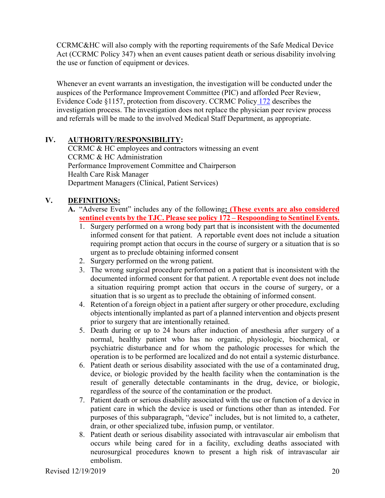CCRMC&HC will also comply with the reporting requirements of the Safe Medical Device Act (CCRMC Policy 347) when an event causes patient death or serious disability involving the use or function of equipment or devices.

Whenever an event warrants an investigation, the investigation will be conducted under the auspices of the Performance Improvement Committee (PIC) and afforded Peer Review, Evidence Code §1157, protection from discovery. CCRMC Policy 172 describes the investigation process. The investigation does not replace the physician peer review process and referrals will be made to the involved Medical Staff Department, as appropriate.

# **IV. AUTHORITY/RESPONSIBILITY:**

CCRMC & HC employees and contractors witnessing an event CCRMC & HC Administration Performance Improvement Committee and Chairperson Health Care Risk Manager Department Managers (Clinical, Patient Services)

# **V. DEFINITIONS:**

- **A.** "Adverse Event" includes any of the following**: (These events are also considered sentinel events by the TJC. Please see policy 172 – Respoonding to Sentinel Events.**
	- 1. Surgery performed on a wrong body part that is inconsistent with the documented informed consent for that patient. A reportable event does not include a situation requiring prompt action that occurs in the course of surgery or a situation that is so urgent as to preclude obtaining informed consent
	- 2. Surgery performed on the wrong patient.
	- 3. The wrong surgical procedure performed on a patient that is inconsistent with the documented informed consent for that patient. A reportable event does not include a situation requiring prompt action that occurs in the course of surgery, or a situation that is so urgent as to preclude the obtaining of informed consent.
	- 4. Retention of a foreign object in a patient after surgery or other procedure, excluding objects intentionally implanted as part of a planned intervention and objects present prior to surgery that are intentionally retained.
	- 5. Death during or up to 24 hours after induction of anesthesia after surgery of a normal, healthy patient who has no organic, physiologic, biochemical, or psychiatric disturbance and for whom the pathologic processes for which the operation is to be performed are localized and do not entail a systemic disturbance.
	- 6. Patient death or serious disability associated with the use of a contaminated drug, device, or biologic provided by the health facility when the contamination is the result of generally detectable contaminants in the drug, device, or biologic, regardless of the source of the contamination or the product.
	- 7. Patient death or serious disability associated with the use or function of a device in patient care in which the device is used or functions other than as intended. For purposes of this subparagraph, "device" includes, but is not limited to, a catheter, drain, or other specialized tube, infusion pump, or ventilator.
	- 8. Patient death or serious disability associated with intravascular air embolism that occurs while being cared for in a facility, excluding deaths associated with neurosurgical procedures known to present a high risk of intravascular air embolism.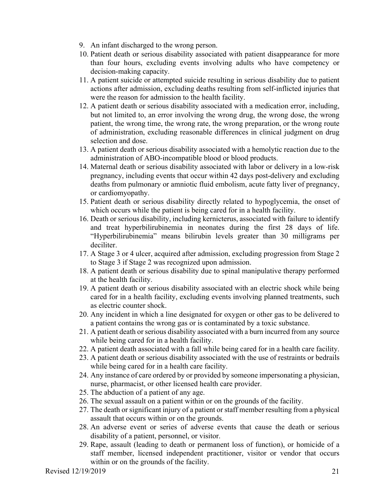- 9. An infant discharged to the wrong person.
- 10. Patient death or serious disability associated with patient disappearance for more than four hours, excluding events involving adults who have competency or decision-making capacity.
- 11. A patient suicide or attempted suicide resulting in serious disability due to patient actions after admission, excluding deaths resulting from self-inflicted injuries that were the reason for admission to the health facility.
- 12. A patient death or serious disability associated with a medication error, including, but not limited to, an error involving the wrong drug, the wrong dose, the wrong patient, the wrong time, the wrong rate, the wrong preparation, or the wrong route of administration, excluding reasonable differences in clinical judgment on drug selection and dose.
- 13. A patient death or serious disability associated with a hemolytic reaction due to the administration of ABO-incompatible blood or blood products.
- 14. Maternal death or serious disability associated with labor or delivery in a low-risk pregnancy, including events that occur within 42 days post-delivery and excluding deaths from pulmonary or amniotic fluid embolism, acute fatty liver of pregnancy, or cardiomyopathy.
- 15. Patient death or serious disability directly related to hypoglycemia, the onset of which occurs while the patient is being cared for in a health facility.
- 16. Death or serious disability, including kernicterus, associated with failure to identify and treat hyperbilirubinemia in neonates during the first 28 days of life. "Hyperbilirubinemia" means bilirubin levels greater than 30 milligrams per deciliter.
- 17. A Stage 3 or 4 ulcer, acquired after admission, excluding progression from Stage 2 to Stage 3 if Stage 2 was recognized upon admission.
- 18. A patient death or serious disability due to spinal manipulative therapy performed at the health facility.
- 19. A patient death or serious disability associated with an electric shock while being cared for in a health facility, excluding events involving planned treatments, such as electric counter shock.
- 20. Any incident in which a line designated for oxygen or other gas to be delivered to a patient contains the wrong gas or is contaminated by a toxic substance.
- 21. A patient death or serious disability associated with a burn incurred from any source while being cared for in a health facility.
- 22. A patient death associated with a fall while being cared for in a health care facility.
- 23. A patient death or serious disability associated with the use of restraints or bedrails while being cared for in a health care facility.
- 24. Any instance of care ordered by or provided by someone impersonating a physician, nurse, pharmacist, or other licensed health care provider.
- 25. The abduction of a patient of any age.
- 26. The sexual assault on a patient within or on the grounds of the facility.
- 27. The death or significant injury of a patient or staff member resulting from a physical assault that occurs within or on the grounds.
- 28. An adverse event or series of adverse events that cause the death or serious disability of a patient, personnel, or visitor.
- 29. Rape, assault (leading to death or permanent loss of function), or homicide of a staff member, licensed independent practitioner, visitor or vendor that occurs within or on the grounds of the facility.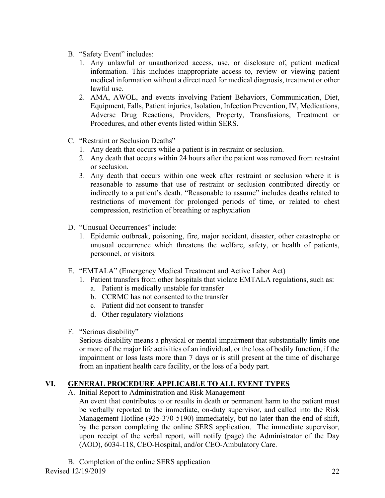- B. "Safety Event" includes:
	- 1. Any unlawful or unauthorized access, use, or disclosure of, patient medical information. This includes inappropriate access to, review or viewing patient medical information without a direct need for medical diagnosis, treatment or other lawful use.
	- 2. AMA, AWOL, and events involving Patient Behaviors, Communication, Diet, Equipment, Falls, Patient injuries, Isolation, Infection Prevention, IV, Medications, Adverse Drug Reactions, Providers, Property, Transfusions, Treatment or Procedures, and other events listed within SERS.
- C. "Restraint or Seclusion Deaths"
	- 1. Any death that occurs while a patient is in restraint or seclusion.
	- 2. Any death that occurs within 24 hours after the patient was removed from restraint or seclusion.
	- 3. Any death that occurs within one week after restraint or seclusion where it is reasonable to assume that use of restraint or seclusion contributed directly or indirectly to a patient's death. "Reasonable to assume" includes deaths related to restrictions of movement for prolonged periods of time, or related to chest compression, restriction of breathing or asphyxiation
- D. "Unusual Occurrences" include:
	- 1. Epidemic outbreak, poisoning, fire, major accident, disaster, other catastrophe or unusual occurrence which threatens the welfare, safety, or health of patients, personnel, or visitors.
- E. "EMTALA" (Emergency Medical Treatment and Active Labor Act)
	- 1. Patient transfers from other hospitals that violate EMTALA regulations, such as: a. Patient is medically unstable for transfer
		- b. CCRMC has not consented to the transfer
		- c. Patient did not consent to transfer
		- d. Other regulatory violations
- F. "Serious disability"

Serious disability means a physical or mental impairment that substantially limits one or more of the major life activities of an individual, or the loss of bodily function, if the impairment or loss lasts more than 7 days or is still present at the time of discharge from an inpatient health care facility, or the loss of a body part.

# **VI. GENERAL PROCEDURE APPLICABLE TO ALL EVENT TYPES**

A. Initial Report to Administration and Risk Management

An event that contributes to or results in death or permanent harm to the patient must be verbally reported to the immediate, on-duty supervisor, and called into the Risk Management Hotline (925-370-5190) immediately, but no later than the end of shift, by the person completing the online SERS application. The immediate supervisor, upon receipt of the verbal report, will notify (page) the Administrator of the Day (AOD), 6034-118, CEO-Hospital, and/or CEO-Ambulatory Care.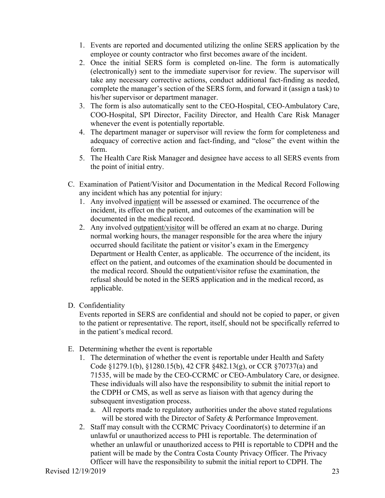- 1. Events are reported and documented utilizing the online SERS application by the employee or county contractor who first becomes aware of the incident.
- 2. Once the initial SERS form is completed on-line. The form is automatically (electronically) sent to the immediate supervisor for review. The supervisor will take any necessary corrective actions, conduct additional fact-finding as needed, complete the manager's section of the SERS form, and forward it (assign a task) to his/her supervisor or department manager.
- 3. The form is also automatically sent to the CEO-Hospital, CEO-Ambulatory Care, COO-Hospital, SPI Director, Facility Director, and Health Care Risk Manager whenever the event is potentially reportable.
- 4. The department manager or supervisor will review the form for completeness and adequacy of corrective action and fact-finding, and "close" the event within the form.
- 5. The Health Care Risk Manager and designee have access to all SERS events from the point of initial entry.
- C. Examination of Patient/Visitor and Documentation in the Medical Record Following any incident which has any potential for injury:
	- 1. Any involved inpatient will be assessed or examined. The occurrence of the incident, its effect on the patient, and outcomes of the examination will be documented in the medical record.
	- 2. Any involved outpatient/visitor will be offered an exam at no charge. During normal working hours, the manager responsible for the area where the injury occurred should facilitate the patient or visitor's exam in the Emergency Department or Health Center, as applicable. The occurrence of the incident, its effect on the patient, and outcomes of the examination should be documented in the medical record. Should the outpatient/visitor refuse the examination, the refusal should be noted in the SERS application and in the medical record, as applicable.
- D. Confidentiality

Events reported in SERS are confidential and should not be copied to paper, or given to the patient or representative. The report, itself, should not be specifically referred to in the patient's medical record.

- E. Determining whether the event is reportable
	- 1. The determination of whether the event is reportable under Health and Safety Code §1279.1(b), §1280.15(b), 42 CFR §482.13(g), or CCR §70737(a) and 71535, will be made by the CEO-CCRMC or CEO-Ambulatory Care, or designee. These individuals will also have the responsibility to submit the initial report to the CDPH or CMS, as well as serve as liaison with that agency during the subsequent investigation process.
		- a. All reports made to regulatory authorities under the above stated regulations will be stored with the Director of Safety & Performance Improvement.
	- 2. Staff may consult with the CCRMC Privacy Coordinator(s) to determine if an unlawful or unauthorized access to PHI is reportable. The determination of whether an unlawful or unauthorized access to PHI is reportable to CDPH and the patient will be made by the Contra Costa County Privacy Officer. The Privacy Officer will have the responsibility to submit the initial report to CDPH. The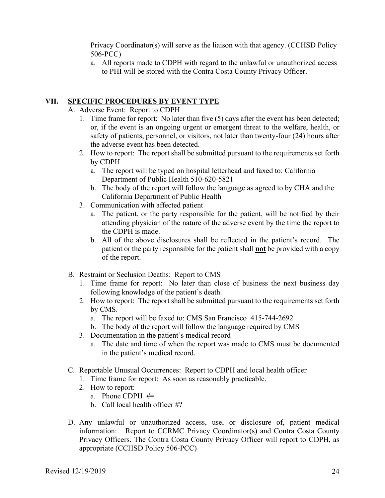Privacy Coordinator(s) will serve as the liaison with that agency. (CCHSD Policy 506-PCC)

a. All reports made to CDPH with regard to the unlawful or unauthorized access to PHI will be stored with the Contra Costa County Privacy Officer.

# **VII. SPECIFIC PROCEDURES BY EVENT TYPE**

- A. Adverse Event: Report to CDPH
	- 1. Time frame for report: No later than five (5) days after the event has been detected; or, if the event is an ongoing urgent or emergent threat to the welfare, health, or safety of patients, personnel, or visitors, not later than twenty-four (24) hours after the adverse event has been detected.
	- 2. How to report: The report shall be submitted pursuant to the requirements set forth by CDPH
		- a. The report will be typed on hospital letterhead and faxed to: California Department of Public Health 510-620-5821
		- b. The body of the report will follow the language as agreed to by CHA and the California Department of Public Health
	- 3. Communication with affected patient
		- a. The patient, or the party responsible for the patient, will be notified by their attending physician of the nature of the adverse event by the time the report to the CDPH is made.
		- b. All of the above disclosures shall be reflected in the patient's record. The patient or the party responsible for the patient shall **not** be provided with a copy of the report.
- B. Restraint or Seclusion Deaths: Report to CMS
	- 1. Time frame for report: No later than close of business the next business day following knowledge of the patient's death.
	- 2. How to report: The report shall be submitted pursuant to the requirements set forth by CMS.
		- a. The report will be faxed to: CMS San Francisco 415-744-2692
		- b. The body of the report will follow the language required by CMS
	- 3. Documentation in the patient's medical record
		- a. The date and time of when the report was made to CMS must be documented in the patient's medical record.
- C. Reportable Unusual Occurrences: Report to CDPH and local health officer
	- 1. Time frame for report: As soon as reasonably practicable.
	- 2. How to report:
		- a. Phone CDPH #=
		- b. Call local health officer #?
- D. Any unlawful or unauthorized access, use, or disclosure of, patient medical information: Report to CCRMC Privacy Coordinator(s) and Contra Costa County Privacy Officers. The Contra Costa County Privacy Officer will report to CDPH, as appropriate (CCHSD Policy 506-PCC)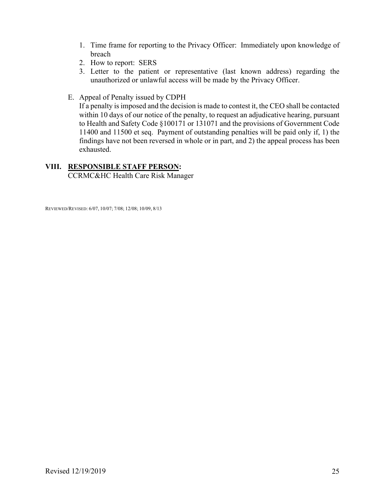- 1. Time frame for reporting to the Privacy Officer: Immediately upon knowledge of breach
- 2. How to report: SERS
- 3. Letter to the patient or representative (last known address) regarding the unauthorized or unlawful access will be made by the Privacy Officer.
- E. Appeal of Penalty issued by CDPH

If a penalty is imposed and the decision is made to contest it, the CEO shall be contacted within 10 days of our notice of the penalty, to request an adjudicative hearing, pursuant to Health and Safety Code §100171 or 131071 and the provisions of Government Code 11400 and 11500 et seq. Payment of outstanding penalties will be paid only if, 1) the findings have not been reversed in whole or in part, and 2) the appeal process has been exhausted.

# **VIII. RESPONSIBLE STAFF PERSON:**

CCRMC&HC Health Care Risk Manager

REVIEWED/REVISED: 6/07, 10/07; 7/08; 12/08; 10/09, 8/13